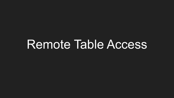# Remote Table Access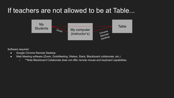#### If teachers are not allowed to be at Table...



Software required:

- Google Chrome Remote Desktop
- Web Meeting software (Zoom, GotoMeeting, Webex, Slack, Blackboard collaborate, etc.)
	- \*\*Note Blackboard Collaborate does not offer remote mouse and keyboard capabilities.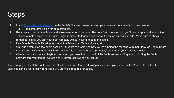### **Steps**

- 1. Install [Google Remote Desktop](https://remotedesktop.google.com/home) on the Table's Chrome browser and on your personal computer's Chrome browser.
	- a. Requires gmail login for both browsers.
- 2. Remotely connect to the Table, and allow permission to access. The very first time you login you'll need to physically be at the Table to enable access on the Table. Login is similar to teamviewer where it requires an access code. Make sure to check remember pin so you can now login remotely without having to be at the Table.
- 3. Use Google Remote Desktop to control the Table, load Table software, etc.
- 4. On your laptop, start the Zoom session. Students can login and now you're running the meeting with them through Zoom. Share your screen with students, which will have the Table software open (remotely) as a tab in your Chrome browser.
- 5. Give students mouse and keyboard access if you want them to control the Table software. They are controlling the Table software thru your laptop, so technically they're controlling your laptop.

If you are physically at the Table, you can skip the Chrome Remote Desktop session completely and install Zoom, etc. on the Table. Meetings can be run directly from Table. A USB mic is required for audio.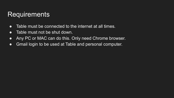### **Requirements**

- Table must be connected to the internet at all times.
- Table must not be shut down.
- Any PC or MAC can do this. Only need Chrome browser.
- Gmail login to be used at Table and personal computer.